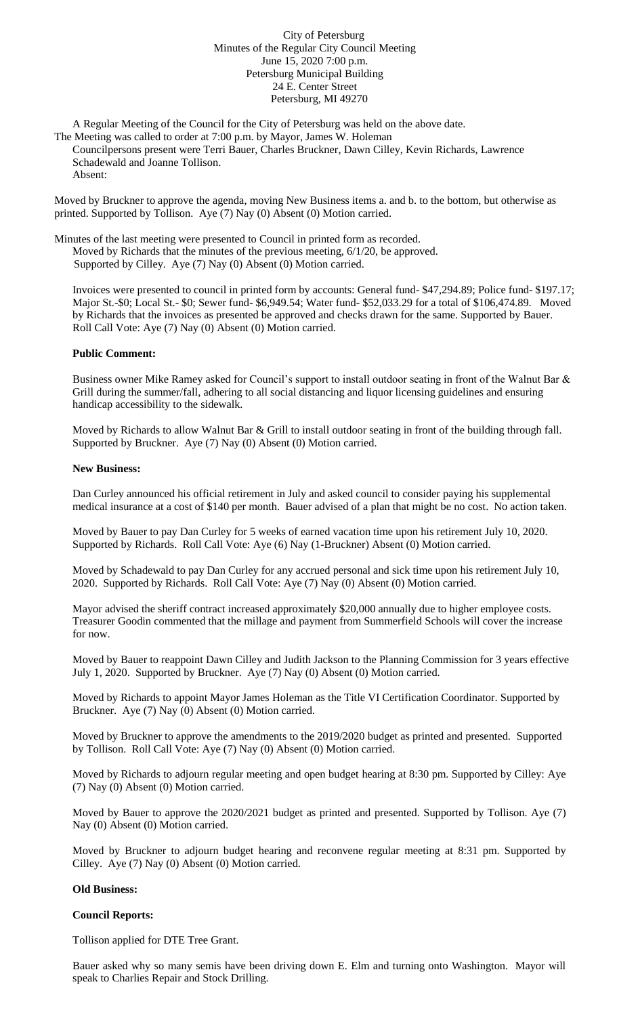# City of Petersburg Minutes of the Regular City Council Meeting June 15, 2020 7:00 p.m. Petersburg Municipal Building 24 E. Center Street Petersburg, MI 49270

A Regular Meeting of the Council for the City of Petersburg was held on the above date. The Meeting was called to order at 7:00 p.m. by Mayor, James W. Holeman Councilpersons present were Terri Bauer, Charles Bruckner, Dawn Cilley, Kevin Richards, Lawrence Schadewald and Joanne Tollison. Absent:

Moved by Bruckner to approve the agenda, moving New Business items a. and b. to the bottom, but otherwise as printed. Supported by Tollison. Aye (7) Nay (0) Absent (0) Motion carried.

Minutes of the last meeting were presented to Council in printed form as recorded. Moved by Richards that the minutes of the previous meeting, 6/1/20, be approved. Supported by Cilley. Aye (7) Nay (0) Absent (0) Motion carried.

Invoices were presented to council in printed form by accounts: General fund- \$47,294.89; Police fund- \$197.17; Major St.-\$0; Local St.- \$0; Sewer fund- \$6,949.54; Water fund- \$52,033.29 for a total of \$106,474.89. Moved by Richards that the invoices as presented be approved and checks drawn for the same. Supported by Bauer. Roll Call Vote: Aye (7) Nay (0) Absent (0) Motion carried.

# **Public Comment:**

Business owner Mike Ramey asked for Council's support to install outdoor seating in front of the Walnut Bar & Grill during the summer/fall, adhering to all social distancing and liquor licensing guidelines and ensuring handicap accessibility to the sidewalk.

Moved by Richards to allow Walnut Bar & Grill to install outdoor seating in front of the building through fall. Supported by Bruckner. Aye (7) Nay (0) Absent (0) Motion carried.

# **New Business:**

Dan Curley announced his official retirement in July and asked council to consider paying his supplemental medical insurance at a cost of \$140 per month. Bauer advised of a plan that might be no cost. No action taken.

Moved by Bauer to pay Dan Curley for 5 weeks of earned vacation time upon his retirement July 10, 2020. Supported by Richards. Roll Call Vote: Aye (6) Nay (1-Bruckner) Absent (0) Motion carried.

Moved by Schadewald to pay Dan Curley for any accrued personal and sick time upon his retirement July 10, 2020. Supported by Richards. Roll Call Vote: Aye (7) Nay (0) Absent (0) Motion carried.

Mayor advised the sheriff contract increased approximately \$20,000 annually due to higher employee costs. Treasurer Goodin commented that the millage and payment from Summerfield Schools will cover the increase for now.

Moved by Bauer to reappoint Dawn Cilley and Judith Jackson to the Planning Commission for 3 years effective July 1, 2020. Supported by Bruckner. Aye (7) Nay (0) Absent (0) Motion carried.

Moved by Richards to appoint Mayor James Holeman as the Title VI Certification Coordinator. Supported by Bruckner. Aye (7) Nay (0) Absent (0) Motion carried.

Moved by Bruckner to approve the amendments to the 2019/2020 budget as printed and presented. Supported by Tollison. Roll Call Vote: Aye (7) Nay (0) Absent (0) Motion carried.

Moved by Richards to adjourn regular meeting and open budget hearing at 8:30 pm. Supported by Cilley: Aye (7) Nay (0) Absent (0) Motion carried.

Moved by Bauer to approve the 2020/2021 budget as printed and presented. Supported by Tollison. Aye (7) Nay (0) Absent (0) Motion carried.

Moved by Bruckner to adjourn budget hearing and reconvene regular meeting at 8:31 pm. Supported by Cilley. Aye (7) Nay (0) Absent (0) Motion carried.

# **Old Business:**

# **Council Reports:**

Tollison applied for DTE Tree Grant.

Bauer asked why so many semis have been driving down E. Elm and turning onto Washington. Mayor will speak to Charlies Repair and Stock Drilling.